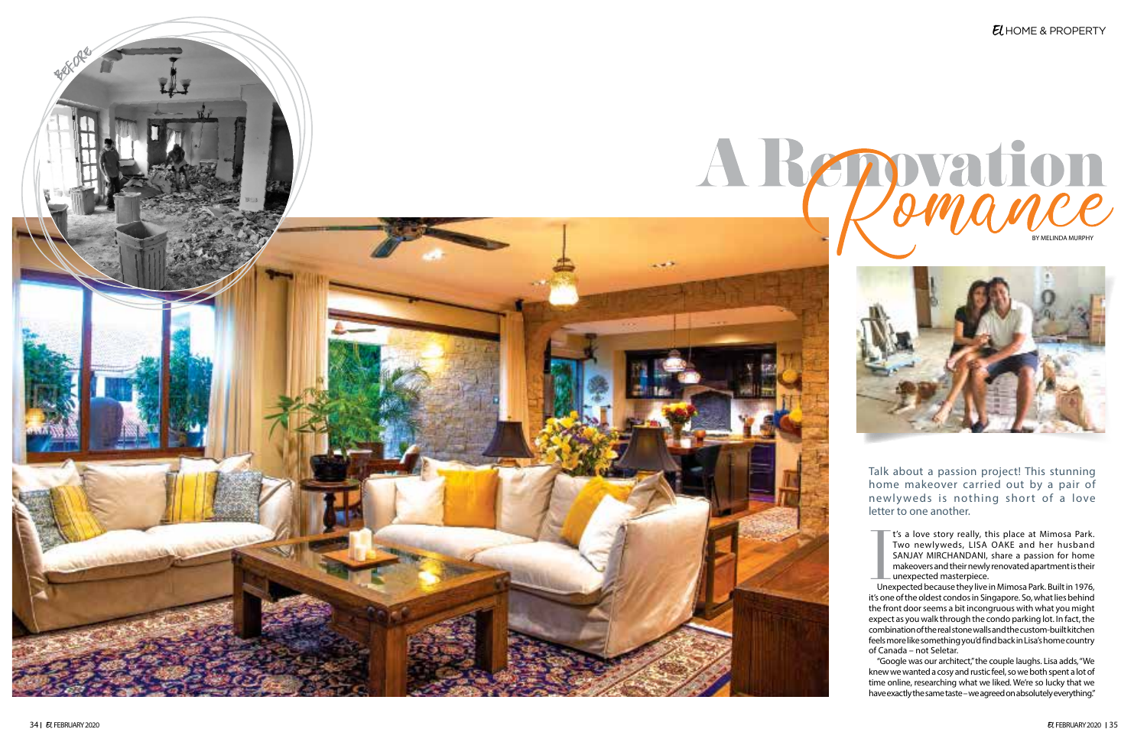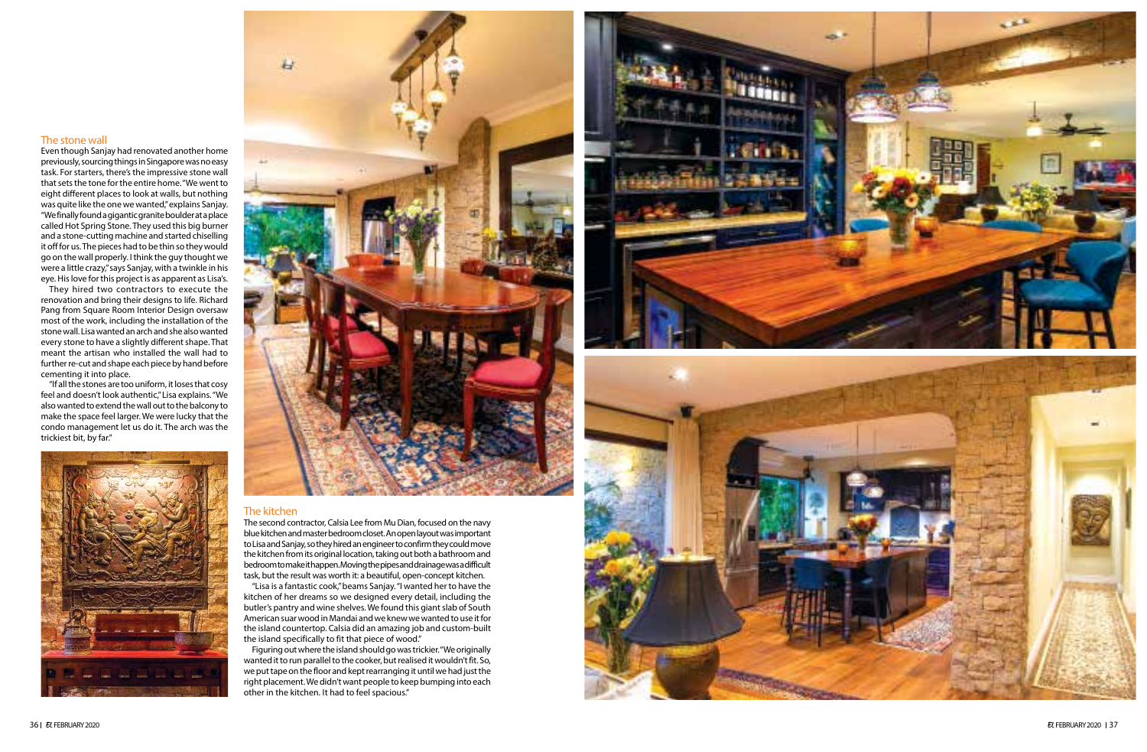



# The stone wall

Even though Sanjay had renovated another home previously, sourcing things in Singapore was no easy task. For starters, there's the impressive stone wall that sets the tone for the entire home. "We went to eight different places to look at walls, but nothing was quite like the one we wanted," explains Sanjay. "We finally found a gigantic granite boulder at a place called Hot Spring Stone. They used this big burner and a stone-cutting machine and started chiselling it off for us. The pieces had to be thin so they would go on the wall properly. I think the guy thought we were a little crazy," says Sanjay, with a twinkle in his eye. His love for this project is as apparent as Lisa's.

They hired two contractors to execute the renovation and bring their designs to life. Richard Pang from Square Room Interior Design oversaw most of the work, including the installation of the stone wall. Lisa wanted an arch and she also wanted every stone to have a slightly different shape. That meant the artisan who installed the wall had to further re-cut and shape each piece by hand before cementing it into place.

"If all the stones are too uniform, it loses that cosy feel and doesn't look authentic," Lisa explains. "We also wanted to extend the wall out to the balcony to make the space feel larger. We were lucky that the condo management let us do it. The arch was the trickiest bit, by far."





## The kitchen

The second contractor, Calsia Lee from Mu Dian, focused on the navy blue kitchen and master bedroom closet. An open layout was important to Lisa and Sanjay, so they hired an engineer to confirm they could move the kitchen from its original location, taking out both a bathroom and bedroom to make it happen. Moving the pipes and drainage was a difficult task, but the result was worth it: a beautiful, open-concept kitchen.

"Lisa is a fantastic cook," beams Sanjay. "I wanted her to have the kitchen of her dreams so we designed every detail, including the butler's pantry and wine shelves. We found this giant slab of South American suar wood in Mandai and we knew we wanted to use it for the island countertop. Calsia did an amazing job and custom-built the island specifically to fit that piece of wood."

Figuring out where the island should go was trickier. "We originally wanted it to run parallel to the cooker, but realised it wouldn't fit. So, we put tape on the floor and kept rearranging it until we had just the right placement. We didn't want people to keep bumping into each other in the kitchen. It had to feel spacious."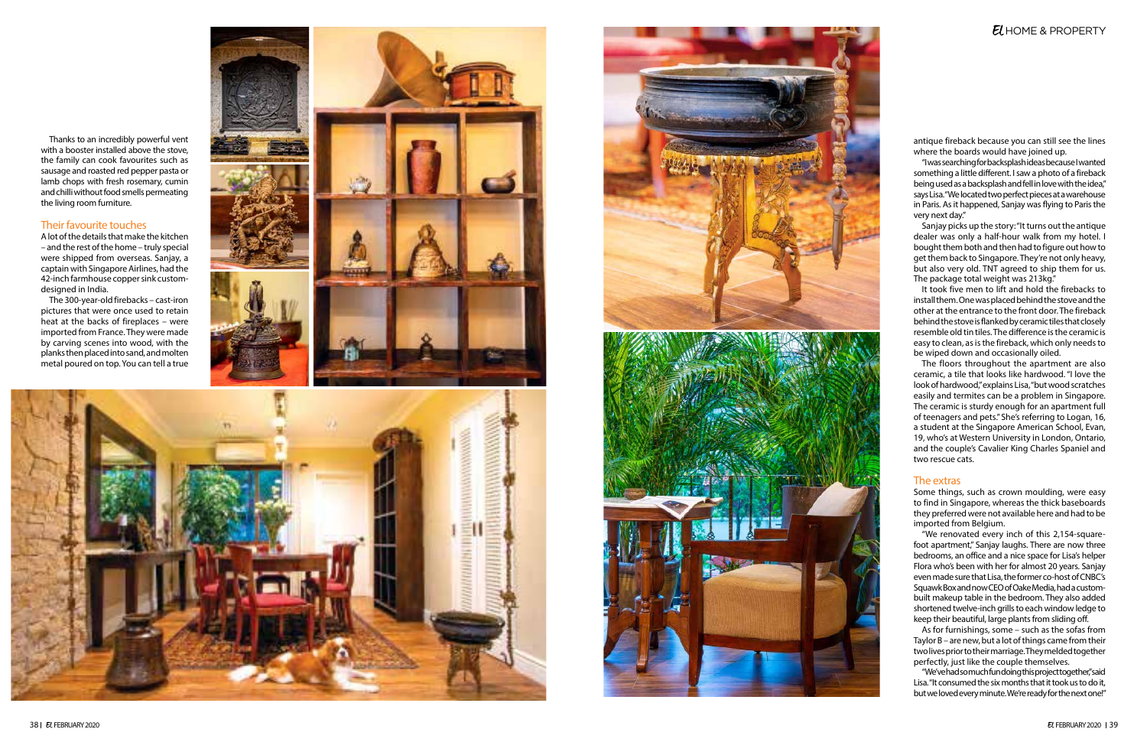

Thanks to an incredibly powerful vent with a booster installed above the stove, the family can cook favourites such as sausage and roasted red pepper pasta or lamb chops with fresh rosemary, cumin and chilli without food smells permeating the living room furniture.

## Their favourite touches

A lot of the details that make the kitchen – and the rest of the home – truly special were shipped from overseas. Sanjay, a captain with Singapore Airlines, had the 42-inch farmhouse copper sink customdesigned in India.

The 300-year-old firebacks – cast-iron pictures that were once used to retain heat at the backs of fireplaces – were imported from France. They were made by carving scenes into wood, with the planks then placed into sand, and molten metal poured on top. You can tell a true





antique fireback because you can still see the lines where the boards would have joined up.

"I was searching for backsplash ideas because I wanted something a little different. I saw a photo of a fireback being used as a backsplash and fell in love with the idea," says Lisa. "We located two perfect pieces at a warehouse in Paris. As it happened, Sanjay was flying to Paris the very next day."

Sanjay picks up the story: "It turns out the antique dealer was only a half-hour walk from my hotel. I bought them both and then had to figure out how to get them back to Singapore. They're not only heavy, but also very old. TNT agreed to ship them for us. The package total weight was 213kg."

It took five men to lift and hold the firebacks to install them. One was placed behind the stove and the other at the entrance to the front door. The fireback behind the stove is flanked by ceramic tiles that closely resemble old tin tiles. The difference is the ceramic is easy to clean, as is the fireback, which only needs to be wiped down and occasionally oiled.

The floors throughout the apartment are also ceramic, a tile that looks like hardwood. "I love the look of hardwood," explains Lisa, "but wood scratches easily and termites can be a problem in Singapore. The ceramic is sturdy enough for an apartment full of teenagers and pets." She's referring to Logan, 16, a student at the Singapore American School, Evan, 19, who's at Western University in London, Ontario, and the couple's Cavalier King Charles Spaniel and two rescue cats.

### The extras

Some things, such as crown moulding, were easy to find in Singapore, whereas the thick baseboards they preferred were not available here and had to be imported from Belgium.

"We renovated every inch of this 2,154-squarefoot apartment," Sanjay laughs. There are now three bedrooms, an office and a nice space for Lisa's helper Flora who's been with her for almost 20 years. Sanjay even made sure that Lisa, the former co-host of CNBC's Squawk Box and now CEO of Oake Media, had a custombuilt makeup table in the bedroom. They also added shortened twelve-inch grills to each window ledge to keep their beautiful, large plants from sliding off.

As for furnishings, some – such as the sofas from Taylor B – are new, but a lot of things came from their two lives prior to their marriage. They melded together perfectly, just like the couple themselves.

"We've had so much fun doing this project together," said Lisa. "It consumed the six months that it took us to do it, but we loved every minute. We're ready for the next one!"